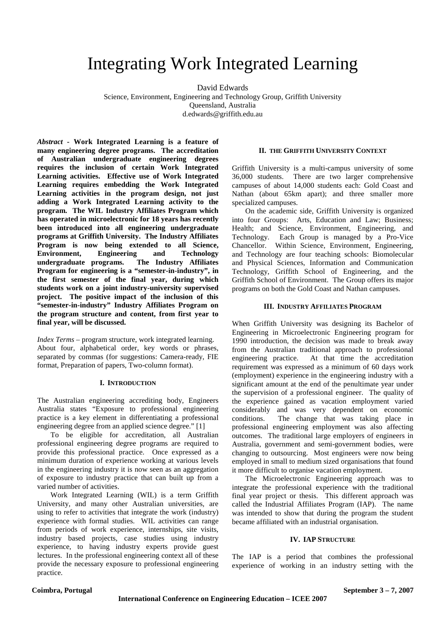# Integrating Work Integrated Learning

David Edwards

Science, Environment, Engineering and Technology Group, Griffith University Queensland, Australia

d.edwards@griffith.edu.au

*Abstract* **- Work Integrated Learning is a feature of many engineering degree programs. The accreditation of Australian undergraduate engineering degrees requires the inclusion of certain Work Integrated Learning activities. Effective use of Work Integrated Learning requires embedding the Work Integrated Learning activities in the program design, not just adding a Work Integrated Learning activity to the program. The WIL Industry Affiliates Program which has operated in microelectronic for 18 years has recently been introduced into all engineering undergraduate programs at Griffith University. The Industry Affiliates Program is now being extended to all Science, Environment, Engineering and Technology undergraduate programs. The Industry Affiliates Program for engineering is a "semester-in-industry", in the first semester of the final year, during which students work on a joint industry-university supervised project. The positive impact of the inclusion of this "semester-in-industry" Industry Affiliates Program on the program structure and content, from first year to final year, will be discussed.** 

*Index Terms* – program structure, work integrated learning. About four, alphabetical order, key words or phrases, separated by commas (for suggestions: Camera-ready, FIE format, Preparation of papers, Two-column format).

# **I. INTRODUCTION**

The Australian engineering accrediting body, Engineers Australia states "Exposure to professional engineering practice is a key element in differentiating a professional engineering degree from an applied science degree." [1]

 To be eligible for accreditation, all Australian professional engineering degree programs are required to provide this professional practice. Once expressed as a minimum duration of experience working at various levels in the engineering industry it is now seen as an aggregation of exposure to industry practice that can built up from a varied number of activities.

 Work Integrated Learning (WIL) is a term Griffith University, and many other Australian universities, are using to refer to activities that integrate the work (industry) experience with formal studies. WIL activities can range from periods of work experience, internships, site visits, industry based projects, case studies using industry experience, to having industry experts provide guest lectures. In the professional engineering context all of these provide the necessary exposure to professional engineering practice.

# **II. THE GRIFFITH UNIVERSITY CONTEXT**

Griffith University is a multi-campus university of some 36,000 students. There are two larger comprehensive campuses of about 14,000 students each: Gold Coast and Nathan (about 65km apart); and three smaller more specialized campuses.

On the academic side, Griffith University is organized into four Groups: Arts, Education and Law; Business; Health; and Science, Environment, Engineering, and Technology. Each Group is managed by a Pro-Vice Chancellor. Within Science, Environment, Engineering, and Technology are four teaching schools: Biomolecular and Physical Sciences, Information and Communication Technology, Griffith School of Engineering, and the Griffith School of Environment. The Group offers its major programs on both the Gold Coast and Nathan campuses.

## **III. INDUSTRY AFFILIATES PROGRAM**

When Griffith University was designing its Bachelor of Engineering in Microelectronic Engineering program for 1990 introduction, the decision was made to break away from the Australian traditional approach to professional engineering practice. At that time the accreditation requirement was expressed as a minimum of 60 days work (employment) experience in the engineering industry with a significant amount at the end of the penultimate year under the supervision of a professional engineer. The quality of the experience gained as vacation employment varied considerably and was very dependent on economic conditions. The change that was taking place in professional engineering employment was also affecting outcomes. The traditional large employers of engineers in Australia, government and semi-government bodies, were changing to outsourcing. Most engineers were now being employed in small to medium sized organisations that found it more difficult to organise vacation employment.

 The Microelectronic Engineering approach was to integrate the professional experience with the traditional final year project or thesis. This different approach was called the Industrial Affiliates Program (IAP). The name was intended to show that during the program the student became affiliated with an industrial organisation.

## **IV. IAP STRUCTURE**

The IAP is a period that combines the professional experience of working in an industry setting with the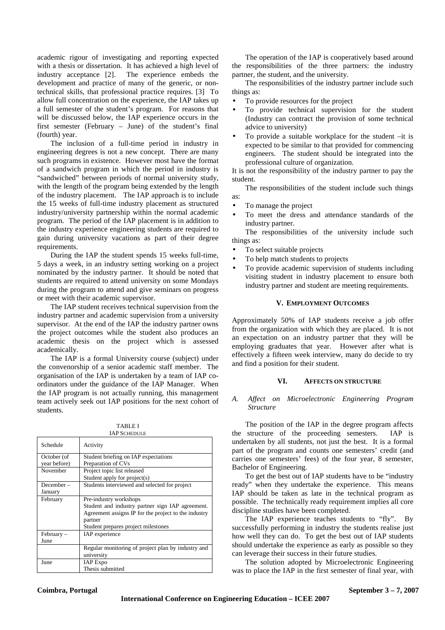academic rigour of investigating and reporting expected with a thesis or dissertation. It has achieved a high level of industry acceptance [2]. The experience embeds the development and practice of many of the generic, or nontechnical skills, that professional practice requires. [3] To allow full concentration on the experience, the IAP takes up a full semester of the student's program. For reasons that will be discussed below, the IAP experience occurs in the first semester (February – June) of the student's final (fourth) year.

 The inclusion of a full-time period in industry in engineering degrees is not a new concept. There are many such programs in existence. However most have the format of a sandwich program in which the period in industry is "sandwiched" between periods of normal university study, with the length of the program being extended by the length of the industry placement. The IAP approach is to include the 15 weeks of full-time industry placement as structured industry/university partnership within the normal academic program. The period of the IAP placement is in addition to the industry experience engineering students are required to gain during university vacations as part of their degree requirements.

 During the IAP the student spends 15 weeks full-time, 5 days a week, in an industry setting working on a project nominated by the industry partner. It should be noted that students are required to attend university on some Mondays during the program to attend and give seminars on progress or meet with their academic supervisor.

 The IAP student receives technical supervision from the industry partner and academic supervision from a university supervisor. At the end of the IAP the industry partner owns the project outcomes while the student also produces an academic thesis on the project which is assessed academically.

 The IAP is a formal University course (subject) under the convenorship of a senior academic staff member. The organisation of the IAP is undertaken by a team of IAP coordinators under the guidance of the IAP Manager. When the IAP program is not actually running, this management team actively seek out IAP positions for the next cohort of students.

| TABLE I      |  |
|--------------|--|
| IAP SCHEDULE |  |

| IAF JUHEDULE |                                                      |  |
|--------------|------------------------------------------------------|--|
| Schedule     | Activity                                             |  |
| October (of  | Student briefing on IAP expectations                 |  |
| year before) | Preparation of CVs                                   |  |
| November     | Project topic list released                          |  |
|              | Student apply for project(s)                         |  |
| December-    | Students interviewed and selected for project        |  |
| January      |                                                      |  |
| February     | Pre-industry workshops                               |  |
|              | Student and industry partner sign IAP agreement.     |  |
|              | Agreement assigns IP for the project to the industry |  |
|              | partner                                              |  |
|              | Student prepares project milestones                  |  |
| $February -$ | IAP experience                                       |  |
| June         |                                                      |  |
|              | Regular monitoring of project plan by industry and   |  |
|              | university                                           |  |
| June         | <b>IAP</b> Expo                                      |  |
|              | Thesis submitted                                     |  |

 The operation of the IAP is cooperatively based around the responsibilities of the three partners: the industry partner, the student, and the university.

The responsibilities of the industry partner include such things as:

- To provide resources for the project
- To provide technical supervision for the student (Industry can contract the provision of some technical advice to university)
- To provide a suitable workplace for the student –it is expected to be similar to that provided for commencing engineers. The student should be integrated into the professional culture of organization.

It is not the responsibility of the industry partner to pay the student.

 The responsibilities of the student include such things as:

- To manage the project
- To meet the dress and attendance standards of the industry partner.

The responsibilities of the university include such things as:

- To select suitable projects
- To help match students to projects
- To provide academic supervision of students including visiting student in industry placement to ensure both industry partner and student are meeting requirements.

# **V. EMPLOYMENT OUTCOMES**

Approximately 50% of IAP students receive a job offer from the organization with which they are placed. It is not an expectation on an industry partner that they will be employing graduates that year. However after what is effectively a fifteen week interview, many do decide to try and find a position for their student.

# **VI. AFFECTS ON STRUCTURE**

## *A. Affect on Microelectronic Engineering Program Structure*

The position of the IAP in the degree program affects the structure of the proceeding semesters. IAP is undertaken by all students, not just the best. It is a formal part of the program and counts one semesters' credit (and carries one semesters' fees) of the four year, 8 semester, Bachelor of Engineering.

To get the best out of IAP students have to be "industry ready" when they undertake the experience. This means IAP should be taken as late in the technical program as possible. The technically ready requirement implies all core discipline studies have been completed.

The IAP experience teaches students to "fly". By successfully performing in industry the students realise just how well they can do. To get the best out of IAP students should undertake the experience as early as possible so they can leverage their success in their future studies.

The solution adopted by Microelectronic Engineering was to place the IAP in the first semester of final year, with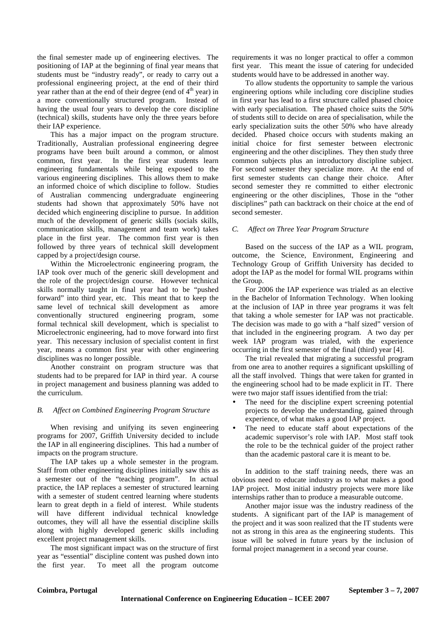the final semester made up of engineering electives. The positioning of IAP at the beginning of final year means that students must be "industry ready", or ready to carry out a professional engineering project, at the end of their third year rather than at the end of their degree (end of  $4<sup>th</sup>$  year) in a more conventionally structured program. Instead of having the usual four years to develop the core discipline (technical) skills, students have only the three years before their IAP experience.

This has a major impact on the program structure. Traditionally, Australian professional engineering degree programs have been built around a common, or almost common, first year. In the first year students learn engineering fundamentals while being exposed to the various engineering disciplines. This allows them to make an informed choice of which discipline to follow. Studies of Australian commencing undergraduate engineering students had shown that approximately 50% have not decided which engineering discipline to pursue. In addition much of the development of generic skills (socials skills, communication skills, management and team work) takes place in the first year. The common first year is then followed by three years of technical skill development capped by a project/design course.

 Within the Microelectronic engineering program, the IAP took over much of the generic skill development and the role of the project/design course. However technical skills normally taught in final year had to be "pushed forward" into third year, etc. This meant that to keep the same level of technical skill development as amore conventionally structured engineering program, some formal technical skill development, which is specialist to Microelectronic engineering, had to move forward into first year. This necessary inclusion of specialist content in first year, means a common first year with other engineering disciplines was no longer possible.

 Another constraint on program structure was that students had to be prepared for IAP in third year. A course in project management and business planning was added to the curriculum.

## *B. Affect on Combined Engineering Program Structure*

When revising and unifying its seven engineering programs for 2007, Griffith University decided to include the IAP in all engineering disciplines. This had a number of impacts on the program structure.

 The IAP takes up a whole semester in the program. Staff from other engineering disciplines initially saw this as a semester out of the "teaching program". In actual practice, the IAP replaces a semester of structured learning with a semester of student centred learning where students learn to great depth in a field of interest. While students will have different individual technical knowledge outcomes, they will all have the essential discipline skills along with highly developed generic skills including excellent project management skills.

 The most significant impact was on the structure of first year as "essential" discipline content was pushed down into the first year. To meet all the program outcome requirements it was no longer practical to offer a common first year. This meant the issue of catering for undecided students would have to be addressed in another way.

 To allow students the opportunity to sample the various engineering options while including core discipline studies in first year has lead to a first structure called phased choice with early specialisation. The phased choice suits the 50% of students still to decide on area of specialisation, while the early specialization suits the other 50% who have already decided. Phased choice occurs with students making an initial choice for first semester between electronic engineering and the other disciplines. They then study three common subjects plus an introductory discipline subject. For second semester they specialize more. At the end of first semester students can change their choice. After second semester they re committed to either electronic engineering or the other disciplines, Those in the "other disciplines" path can backtrack on their choice at the end of second semester.

# *C. Affect on Three Year Program Structure*

Based on the success of the IAP as a WIL program, outcome, the Science, Environment, Engineering and Technology Group of Griffith University has decided to adopt the IAP as the model for formal WIL programs within the Group.

 For 2006 the IAP experience was trialed as an elective in the Bachelor of Information Technology. When looking at the inclusion of IAP in three year programs it was felt that taking a whole semester for IAP was not practicable. The decision was made to go with a "half sized" version of that included in the engineering program. A two day per week IAP program was trialed, with the experience occurring in the first semester of the final (third) year [4].

 The trial revealed that migrating a successful program from one area to another requires a significant upskilling of all the staff involved. Things that were taken for granted in the engineering school had to be made explicit in IT. There were two major staff issues identified from the trial:

- The need for the discipline expert screening potential projects to develop the understanding, gained through experience, of what makes a good IAP project.
- The need to educate staff about expectations of the academic supervisor's role with IAP. Most staff took the role to be the technical guider of the project rather than the academic pastoral care it is meant to be.

 In addition to the staff training needs, there was an obvious need to educate industry as to what makes a good IAP project. Most initial industry projects were more like internships rather than to produce a measurable outcome.

 Another major issue was the industry readiness of the students. A significant part of the IAP is management of the project and it was soon realized that the IT students were not as strong in this area as the engineering students. This issue will be solved in future years by the inclusion of formal project management in a second year course.